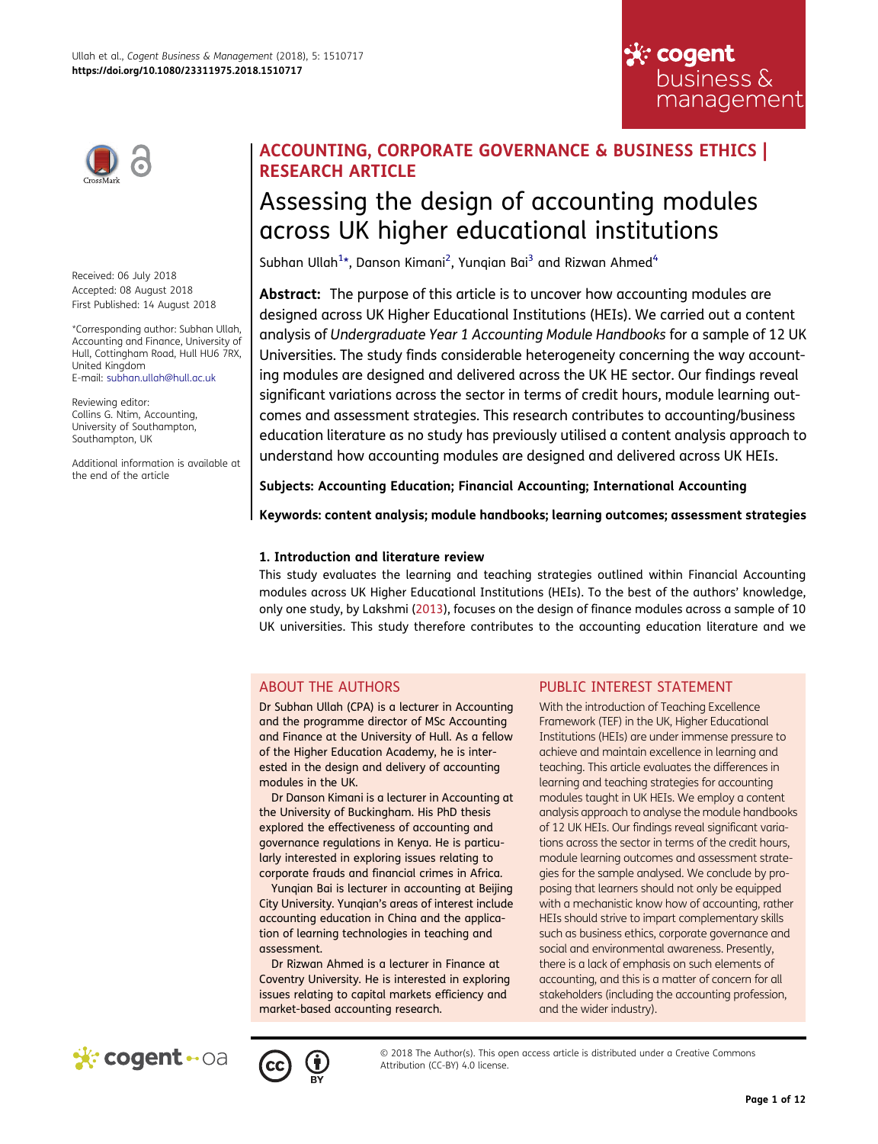

Received: 06 July 2018 Accepted: 08 August 2018 First Published: 14 August 2018

\*Corresponding author: Subhan Ullah, Accounting and Finance, University of Hull, Cottingham Road, Hull HU6 7RX, United Kingdom E-mail: subhan.ullah@hull.ac.uk

Reviewing editor: Collins G. Ntim, Accounting, University of Southampton, Southampton, UK

Additional information is available at the end of the article

# ACCOUNTING, CORPORATE GOVERNANCE & BUSINESS ETHICS | RESEARCH ARTICLE

# Assessing the design of accounting modules across UK higher educational institutions

<span id="page-0-0"></span>Subhan Ullah $^{1*}$  $^{1*}$  $^{1*}$ , Danson Kimani $^2$  $^2$ , Yunqian Bai $^3$  $^3$  and Rizwan Ahmed $^4$  $^4$ 

Abstract: The purpose of this article is to uncover how accounting modules are designed across UK Higher Educational Institutions (HEIs). We carried out a content analysis of Undergraduate Year 1 Accounting Module Handbooks for a sample of 12 UK Universities. The study finds considerable heterogeneity concerning the way accounting modules are designed and delivered across the UK HE sector. Our findings reveal significant variations across the sector in terms of credit hours, module learning outcomes and assessment strategies. This research contributes to accounting/business education literature as no study has previously utilised a content analysis approach to understand how accounting modules are designed and delivered across UK HEIs.

Subjects: Accounting Education; Financial Accounting; International Accounting

Keywords: content analysis; module handbooks; learning outcomes; assessment strategies

## 1. Introduction and literature review

<span id="page-0-1"></span>This study evaluates the learning and teaching strategies outlined within Financial Accounting modules across UK Higher Educational Institutions (HEIs). To the best of the authors' knowledge, only one study, by Lakshmi ([2013\)](#page-10-0), focuses on the design of finance modules across a sample of 10 UK universities. This study therefore contributes to the accounting education literature and we

# ABOUT THE AUTHORS

Dr Subhan Ullah (CPA) is a lecturer in Accounting and the programme director of MSc Accounting and Finance at the University of Hull. As a fellow of the Higher Education Academy, he is interested in the design and delivery of accounting modules in the UK.

Dr Danson Kimani is a lecturer in Accounting at the University of Buckingham. His PhD thesis explored the effectiveness of accounting and governance regulations in Kenya. He is particularly interested in exploring issues relating to corporate frauds and financial crimes in Africa.

Yunqian Bai is lecturer in accounting at Beijing City University. Yunqian's areas of interest include accounting education in China and the application of learning technologies in teaching and assessment.

Dr Rizwan Ahmed is a lecturer in Finance at Coventry University. He is interested in exploring issues relating to capital markets efficiency and market-based accounting research.

# PUBLIC INTEREST STATEMENT

With the introduction of Teaching Excellence Framework (TEF) in the UK, Higher Educational Institutions (HEIs) are under immense pressure to achieve and maintain excellence in learning and teaching. This article evaluates the differences in learning and teaching strategies for accounting modules taught in UK HEIs. We employ a content analysis approach to analyse the module handbooks of 12 UK HEIs. Our findings reveal significant variations across the sector in terms of the credit hours, module learning outcomes and assessment strategies for the sample analysed. We conclude by proposing that learners should not only be equipped with a mechanistic know how of accounting, rather HEIs should strive to impart complementary skills such as business ethics, corporate governance and social and environmental awareness. Presently, there is a lack of emphasis on such elements of accounting, and this is a matter of concern for all stakeholders (including the accounting profession, and the wider industry).

☆ cogent

business & management





© 2018 The Author(s). This open access article is distributed under a Creative Commons Attribution (CC-BY) 4.0 license.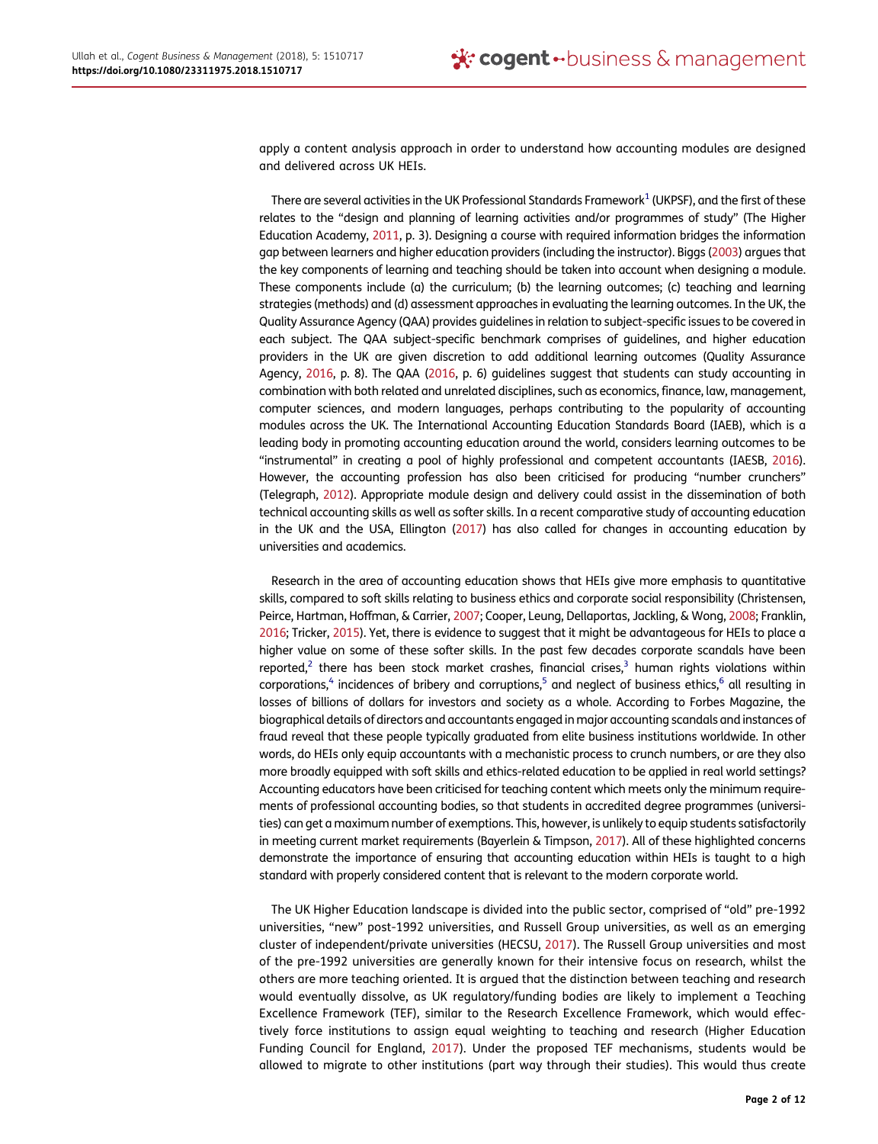apply a content analysis approach in order to understand how accounting modules are designed and delivered across UK HEIs.

<span id="page-1-9"></span><span id="page-1-7"></span><span id="page-1-1"></span>There are several activities in the UK Professional Standards Framework $1$  (UKPSF), and the first of these relates to the "design and planning of learning activities and/or programmes of study" (The Higher Education Academy, [2011](#page-10-1), p. 3). Designing a course with required information bridges the information gap between learners and higher education providers (including the instructor). Biggs [\(2003\)](#page-9-5) argues that the key components of learning and teaching should be taken into account when designing a module. These components include (a) the curriculum; (b) the learning outcomes; (c) teaching and learning strategies (methods) and (d) assessment approaches in evaluating the learning outcomes. In the UK, the Quality Assurance Agency (QAA) provides guidelines in relation to subject-specific issues to be covered in each subject. The QAA subject-specific benchmark comprises of guidelines, and higher education providers in the UK are given discretion to add additional learning outcomes (Quality Assurance Agency, [2016](#page-10-2), p. 8). The QAA [\(2016](#page-10-2), p. 6) guidelines suggest that students can study accounting in combination with both related and unrelated disciplines, such as economics, finance, law, management, computer sciences, and modern languages, perhaps contributing to the popularity of accounting modules across the UK. The International Accounting Education Standards Board (IAEB), which is a leading body in promoting accounting education around the world, considers learning outcomes to be "instrumental" in creating a pool of highly professional and competent accountants (IAESB, [2016\)](#page-10-3). However, the accounting profession has also been criticised for producing "number crunchers" (Telegraph, [2012\)](#page-10-4). Appropriate module design and delivery could assist in the dissemination of both technical accounting skills as well as softer skills. In a recent comparative study of accounting education in the UK and the USA, Ellington [\(2017](#page-9-6)) has also called for changes in accounting education by universities and academics.

<span id="page-1-10"></span><span id="page-1-8"></span><span id="page-1-6"></span><span id="page-1-3"></span><span id="page-1-2"></span>Research in the area of accounting education shows that HEIs give more emphasis to quantitative skills, compared to soft skills relating to business ethics and corporate social responsibility (Christensen, Peirce, Hartman, Hoffman, & Carrier, [2007](#page-9-7); Cooper, Leung, Dellaportas, Jackling, & Wong, [2008;](#page-9-8) Franklin, [2016;](#page-9-9) Tricker, [2015\)](#page-10-5). Yet, there is evidence to suggest that it might be advantageous for HEIs to place a higher value on some of these softer skills. In the past few decades corporate scandals have been reported,<sup>[2](#page-9-10)</sup> there has been stock market crashes, financial crises, $3$  human rights violations within corporations,<sup>4</sup> incidences of bribery and corruptions,<sup>5</sup> and neglect of business ethics,<sup>6</sup> all resulting in losses of billions of dollars for investors and society as a whole. According to Forbes Magazine, the biographical details of directors and accountants engaged in major accounting scandals and instances of fraud reveal that these people typically graduated from elite business institutions worldwide. In other words, do HEIs only equip accountants with a mechanistic process to crunch numbers, or are they also more broadly equipped with soft skills and ethics-related education to be applied in real world settings? Accounting educators have been criticised for teaching content which meets only the minimum requirements of professional accounting bodies, so that students in accredited degree programmes (universities) can get a maximum number of exemptions. This, however, is unlikely to equip students satisfactorily in meeting current market requirements (Bayerlein & Timpson, [2017\)](#page-9-15). All of these highlighted concerns demonstrate the importance of ensuring that accounting education within HEIs is taught to a high standard with properly considered content that is relevant to the modern corporate world.

<span id="page-1-5"></span><span id="page-1-4"></span><span id="page-1-0"></span>The UK Higher Education landscape is divided into the public sector, comprised of "old" pre-1992 universities, "new" post-1992 universities, and Russell Group universities, as well as an emerging cluster of independent/private universities (HECSU, [2017\)](#page-10-6). The Russell Group universities and most of the pre-1992 universities are generally known for their intensive focus on research, whilst the others are more teaching oriented. It is argued that the distinction between teaching and research would eventually dissolve, as UK regulatory/funding bodies are likely to implement a Teaching Excellence Framework (TEF), similar to the Research Excellence Framework, which would effectively force institutions to assign equal weighting to teaching and research (Higher Education Funding Council for England, [2017\)](#page-10-7). Under the proposed TEF mechanisms, students would be allowed to migrate to other institutions (part way through their studies). This would thus create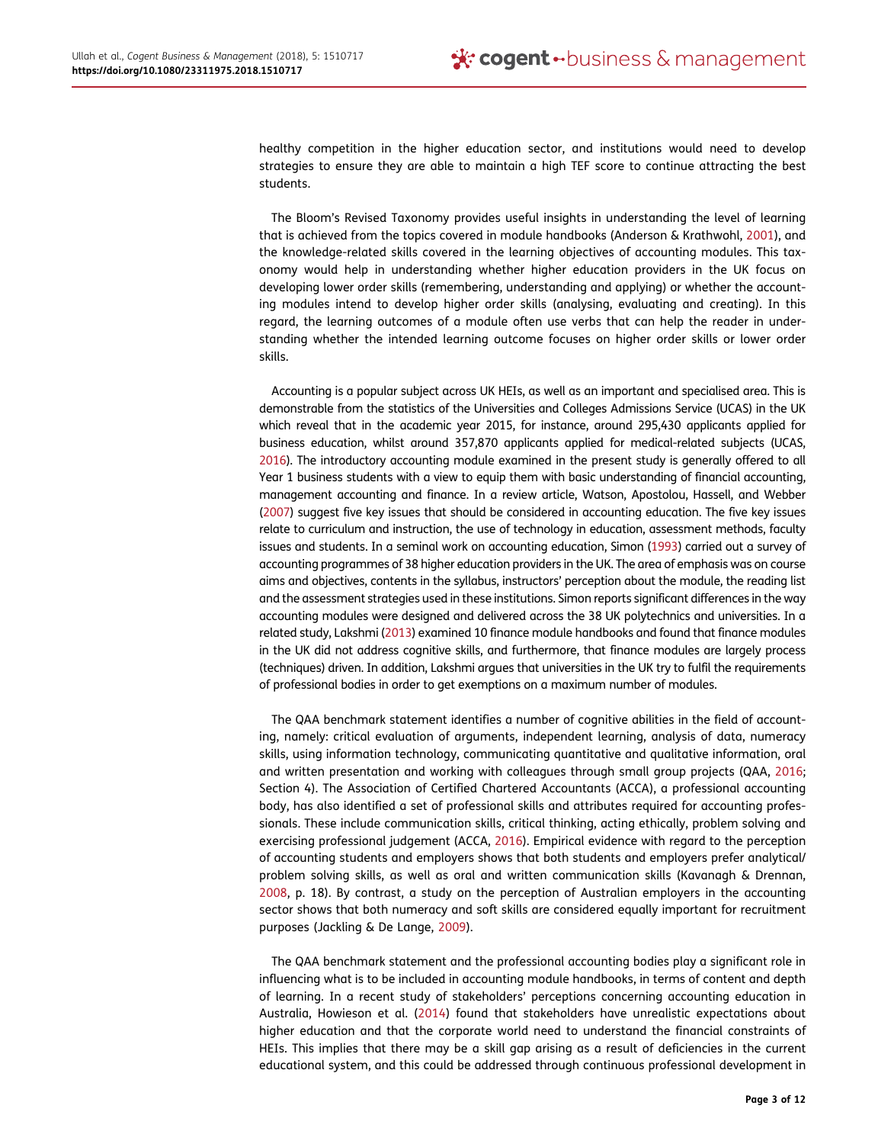healthy competition in the higher education sector, and institutions would need to develop strategies to ensure they are able to maintain a high TEF score to continue attracting the best students.

<span id="page-2-1"></span>The Bloom's Revised Taxonomy provides useful insights in understanding the level of learning that is achieved from the topics covered in module handbooks (Anderson & Krathwohl, [2001\)](#page-9-16), and the knowledge-related skills covered in the learning objectives of accounting modules. This taxonomy would help in understanding whether higher education providers in the UK focus on developing lower order skills (remembering, understanding and applying) or whether the accounting modules intend to develop higher order skills (analysing, evaluating and creating). In this regard, the learning outcomes of a module often use verbs that can help the reader in understanding whether the intended learning outcome focuses on higher order skills or lower order skills.

<span id="page-2-7"></span><span id="page-2-6"></span><span id="page-2-5"></span>Accounting is a popular subject across UK HEIs, as well as an important and specialised area. This is demonstrable from the statistics of the Universities and Colleges Admissions Service (UCAS) in the UK which reveal that in the academic year 2015, for instance, around 295,430 applicants applied for business education, whilst around 357,870 applicants applied for medical-related subjects (UCAS, [2016\)](#page-10-8). The introductory accounting module examined in the present study is generally offered to all Year 1 business students with a view to equip them with basic understanding of financial accounting, management accounting and finance. In a review article, Watson, Apostolou, Hassell, and Webber ([2007](#page-10-9)) suggest five key issues that should be considered in accounting education. The five key issues relate to curriculum and instruction, the use of technology in education, assessment methods, faculty issues and students. In a seminal work on accounting education, Simon [\(1993\)](#page-10-10) carried out a survey of accounting programmes of 38 higher education providers in the UK. The area of emphasis was on course aims and objectives, contents in the syllabus, instructors' perception about the module, the reading list and the assessment strategies used in these institutions. Simon reports significant differences in the way accounting modules were designed and delivered across the 38 UK polytechnics and universities. In a related study, Lakshmi [\(2013\)](#page-10-0) examined 10 finance module handbooks and found that finance modules in the UK did not address cognitive skills, and furthermore, that finance modules are largely process (techniques) driven. In addition, Lakshmi argues that universities in the UK try to fulfil the requirements of professional bodies in order to get exemptions on a maximum number of modules.

<span id="page-2-0"></span>The QAA benchmark statement identifies a number of cognitive abilities in the field of accounting, namely: critical evaluation of arguments, independent learning, analysis of data, numeracy skills, using information technology, communicating quantitative and qualitative information, oral and written presentation and working with colleagues through small group projects (QAA, [2016](#page-10-2); Section 4). The Association of Certified Chartered Accountants (ACCA), a professional accounting body, has also identified a set of professional skills and attributes required for accounting professionals. These include communication skills, critical thinking, acting ethically, problem solving and exercising professional judgement (ACCA, [2016\)](#page-9-17). Empirical evidence with regard to the perception of accounting students and employers shows that both students and employers prefer analytical/ problem solving skills, as well as oral and written communication skills (Kavanagh & Drennan, [2008](#page-10-11), p. 18). By contrast, a study on the perception of Australian employers in the accounting sector shows that both numeracy and soft skills are considered equally important for recruitment purposes (Jackling & De Lange, [2009\)](#page-10-12).

<span id="page-2-4"></span><span id="page-2-3"></span><span id="page-2-2"></span>The QAA benchmark statement and the professional accounting bodies play a significant role in influencing what is to be included in accounting module handbooks, in terms of content and depth of learning. In a recent study of stakeholders' perceptions concerning accounting education in Australia, Howieson et al. [\(2014\)](#page-10-13) found that stakeholders have unrealistic expectations about higher education and that the corporate world need to understand the financial constraints of HEIs. This implies that there may be a skill gap arising as a result of deficiencies in the current educational system, and this could be addressed through continuous professional development in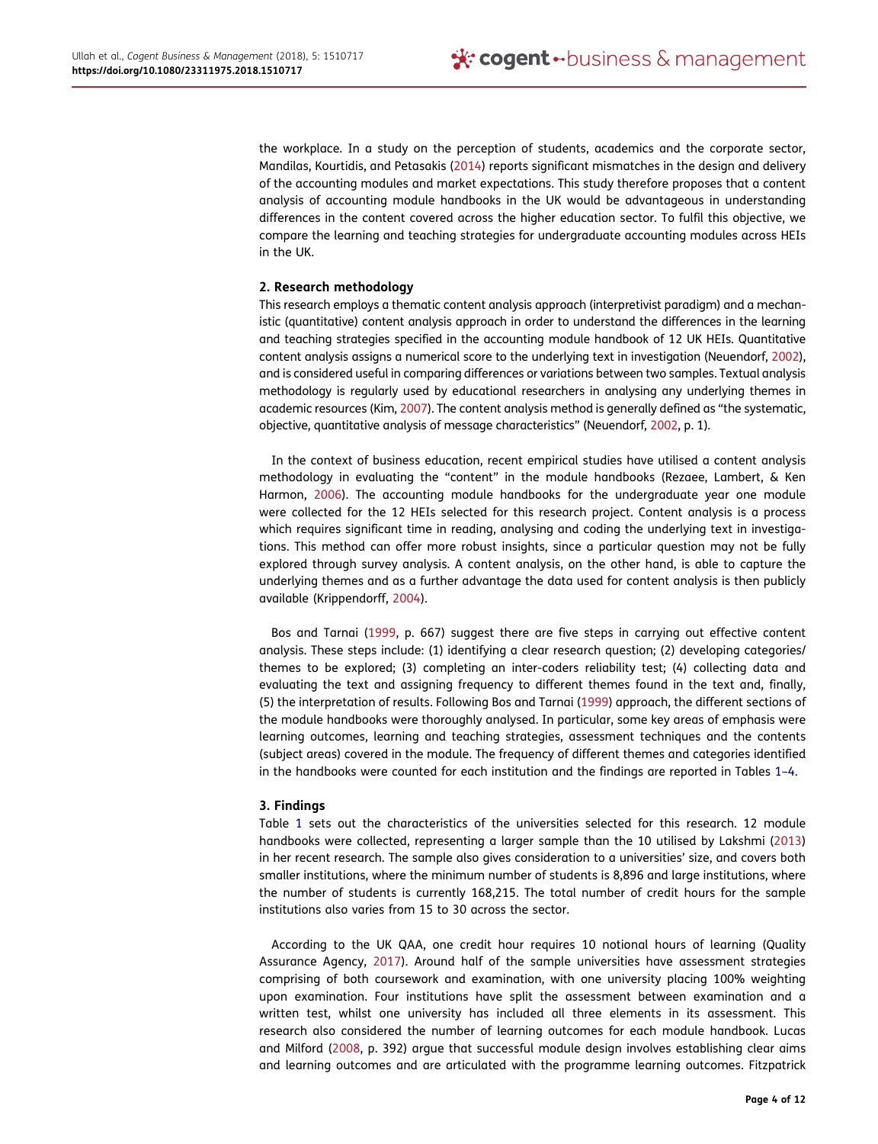<span id="page-3-4"></span>the workplace. In a study on the perception of students, academics and the corporate sector, Mandilas, Kourtidis, and Petasakis ([2014](#page-10-14)) reports significant mismatches in the design and delivery of the accounting modules and market expectations. This study therefore proposes that a content analysis of accounting module handbooks in the UK would be advantageous in understanding differences in the content covered across the higher education sector. To fulfil this objective, we compare the learning and teaching strategies for undergraduate accounting modules across HEIs in the UK.

## 2. Research methodology

This research employs a thematic content analysis approach (interpretivist paradigm) and a mechanistic (quantitative) content analysis approach in order to understand the differences in the learning and teaching strategies specified in the accounting module handbook of 12 UK HEIs. Quantitative content analysis assigns a numerical score to the underlying text in investigation (Neuendorf, [2002\)](#page-10-15), and is considered useful in comparing differences or variations between two samples. Textual analysis methodology is regularly used by educational researchers in analysing any underlying themes in academic resources (Kim, [2007\)](#page-10-16). The content analysis method is generally defined as "the systematic, objective, quantitative analysis of message characteristics" (Neuendorf, [2002,](#page-10-15) p. 1).

<span id="page-3-7"></span><span id="page-3-5"></span><span id="page-3-1"></span>In the context of business education, recent empirical studies have utilised a content analysis methodology in evaluating the "content" in the module handbooks (Rezaee, Lambert, & Ken Harmon, [2006](#page-10-17)). The accounting module handbooks for the undergraduate year one module were collected for the 12 HEIs selected for this research project. Content analysis is a process which requires significant time in reading, analysing and coding the underlying text in investigations. This method can offer more robust insights, since a particular question may not be fully explored through survey analysis. A content analysis, on the other hand, is able to capture the underlying themes and as a further advantage the data used for content analysis is then publicly available (Krippendorff, [2004](#page-10-18)).

<span id="page-3-2"></span><span id="page-3-0"></span>Bos and Tarnai ([1999,](#page-9-18) p. 667) suggest there are five steps in carrying out effective content analysis. These steps include: (1) identifying a clear research question; (2) developing categories/ themes to be explored; (3) completing an inter-coders reliability test; (4) collecting data and evaluating the text and assigning frequency to different themes found in the text and, finally, (5) the interpretation of results. Following Bos and Tarnai [\(1999\)](#page-9-18) approach, the different sections of the module handbooks were thoroughly analysed. In particular, some key areas of emphasis were learning outcomes, learning and teaching strategies, assessment techniques and the contents (subject areas) covered in the module. The frequency of different themes and categories identified in the handbooks were counted for each institution and the findings are reported in Tables [1](#page-4-0)–[4.](#page-6-0)

## 3. Findings

Table [1](#page-4-0) sets out the characteristics of the universities selected for this research. 12 module handbooks were collected, representing a larger sample than the 10 utilised by Lakshmi [\(2013\)](#page-10-0) in her recent research. The sample also gives consideration to a universities' size, and covers both smaller institutions, where the minimum number of students is 8,896 and large institutions, where the number of students is currently 168,215. The total number of credit hours for the sample institutions also varies from 15 to 30 across the sector.

<span id="page-3-6"></span><span id="page-3-3"></span>According to the UK QAA, one credit hour requires 10 notional hours of learning (Quality Assurance Agency, [2017](#page-10-19)). Around half of the sample universities have assessment strategies comprising of both coursework and examination, with one university placing 100% weighting upon examination. Four institutions have split the assessment between examination and a written test, whilst one university has included all three elements in its assessment. This research also considered the number of learning outcomes for each module handbook. Lucas and Milford ([2008](#page-10-20), p. 392) argue that successful module design involves establishing clear aims and learning outcomes and are articulated with the programme learning outcomes. Fitzpatrick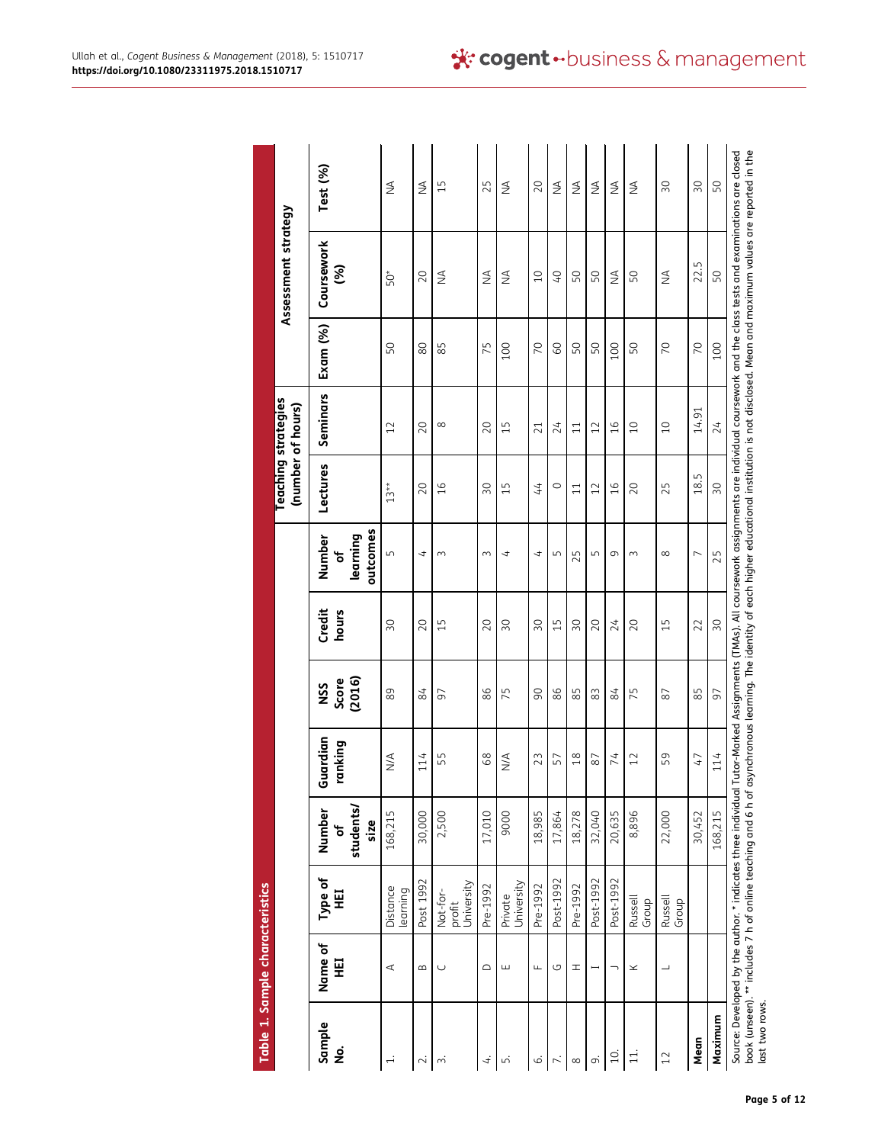<span id="page-4-0"></span>

|                              | Table 1. Sample characteristics |                                                              |                                  |                     |                        |                 |                                     |                   |                            |                |                                                                                                                                                                                                                                                                                                                                                 |                 |
|------------------------------|---------------------------------|--------------------------------------------------------------|----------------------------------|---------------------|------------------------|-----------------|-------------------------------------|-------------------|----------------------------|----------------|-------------------------------------------------------------------------------------------------------------------------------------------------------------------------------------------------------------------------------------------------------------------------------------------------------------------------------------------------|-----------------|
|                              |                                 |                                                              |                                  |                     |                        |                 |                                     | (number of hours) | <b>Teaching strategies</b> |                | Assessment strategy                                                                                                                                                                                                                                                                                                                             |                 |
| Sample<br>$\dot{\mathbf{g}}$ | Name of<br>핓                    | Type of<br>¥                                                 | students/<br>Number<br>size<br>۴ | Guardian<br>ranking | Score<br>(2016)<br>SSN | Credit<br>hours | outcomes<br>Number<br>learning<br>ჼ | Lectures          | Seminars                   | Exam (%)       | Coursework<br>જ્ઞ                                                                                                                                                                                                                                                                                                                               | Test (%)        |
| $\div$                       | ⋖                               | Distance<br>learning                                         | 168,215                          | $\frac{4}{2}$       | 89                     | $\overline{50}$ | $\sqrt{ }$                          | $13**$            | 12                         | 50             | 50*                                                                                                                                                                                                                                                                                                                                             | $\frac{4}{2}$   |
| $\sim$                       | $\infty$                        | Post 1992                                                    | 30,000                           | 114                 | 84                     | 20              | $\overline{ }$                      | 20                | 20                         | 80             | 20                                                                                                                                                                                                                                                                                                                                              | ₹               |
| $\dot{ }$                    | $\cup$                          | University<br>Not-for-<br>profit                             | 2,500                            | 55                  | 50                     | 15              | $\sim$                              | 16                | $\infty$                   | 85             | ₹                                                                                                                                                                                                                                                                                                                                               | 15              |
| 4.                           | $\supset$                       | Pre-1992                                                     | 17,010                           | 68                  | 86                     | 20              | $\sim$                              | 30                | 20                         | 75             | $\frac{4}{2}$                                                                                                                                                                                                                                                                                                                                   | 25              |
| ட்                           | ш                               | University<br>Private                                        | 9000                             | $\frac{4}{2}$       | 75                     | 30              | 4                                   | 15                | 15                         | 100            | $\frac{4}{2}$                                                                                                                                                                                                                                                                                                                                   | ₹               |
| ن                            | $\frac{1}{2}$                   | Pre-1992                                                     | 18,985                           | 23                  | $\infty$               | 30              | $\overline{ }$                      | $\overline{4}$    | 21                         | $\overline{C}$ | 10                                                                                                                                                                                                                                                                                                                                              | 20              |
| 7.                           | G                               | Post-1992                                                    | 17,864                           | 57                  | 86                     | 15              | 5                                   | $\circ$           | 24                         | 8              | $\overline{O}$                                                                                                                                                                                                                                                                                                                                  | ≸               |
| $\infty$                     | H                               | Pre-1992                                                     | 18,278                           | $\frac{8}{18}$      | 85                     | $\overline{50}$ | 25                                  | 11                | $\overline{11}$            | 50             | 50                                                                                                                                                                                                                                                                                                                                              | ₹               |
| o,                           | ۳                               | Post-1992                                                    | 32,040                           | 87                  | 83                     | 20              | 5                                   | 12                | 12                         | SO             | SO,                                                                                                                                                                                                                                                                                                                                             | ₹               |
| 10.                          |                                 | Post-1992                                                    | 20,635                           | 74                  | 84                     | 24              | 9                                   | 16                | 16                         | 100            | $\frac{4}{2}$                                                                                                                                                                                                                                                                                                                                   | ≸               |
| $\overline{11}$ .            | ×                               | <b>Russell</b><br>Group                                      | 8,896                            | 12                  | 75                     | 20              | $\sim$                              | 20                | 10                         | SO             | SO,                                                                                                                                                                                                                                                                                                                                             | ₹               |
| 12                           | $\overline{\phantom{0}}$        | Russell<br>Group                                             | 22,000                           | 59                  | 87                     | 15              | $\infty$                            | 25                | 10                         | $\overline{C}$ | ₹                                                                                                                                                                                                                                                                                                                                               | $\sqrt{2}$      |
| Mean                         |                                 |                                                              | 30,452                           | $\overline{f}$      | 85                     | 22              | $\overline{ }$                      | 18.5              | 14.91                      | $\overline{C}$ | 22.5                                                                                                                                                                                                                                                                                                                                            | $\overline{50}$ |
| Maximum                      |                                 |                                                              | 168,215                          | 114                 | 97                     | 30              | 25                                  | 30                | 24                         | 100            | 50                                                                                                                                                                                                                                                                                                                                              | 50              |
| last two rows.               |                                 | book (unseen). ** includes 7 h of online teaching and 6 h of |                                  |                     |                        |                 |                                     |                   |                            |                | asynchronous learning. The identity of each higher educational institution is not disclosed. Mean and maximum values are reported in the<br>Source: Developed by the author. * indicates three individual Tutor-Marked Assignments (TMAs). All coursework assignments are individual coursework and the class tests and examinations are closed |                 |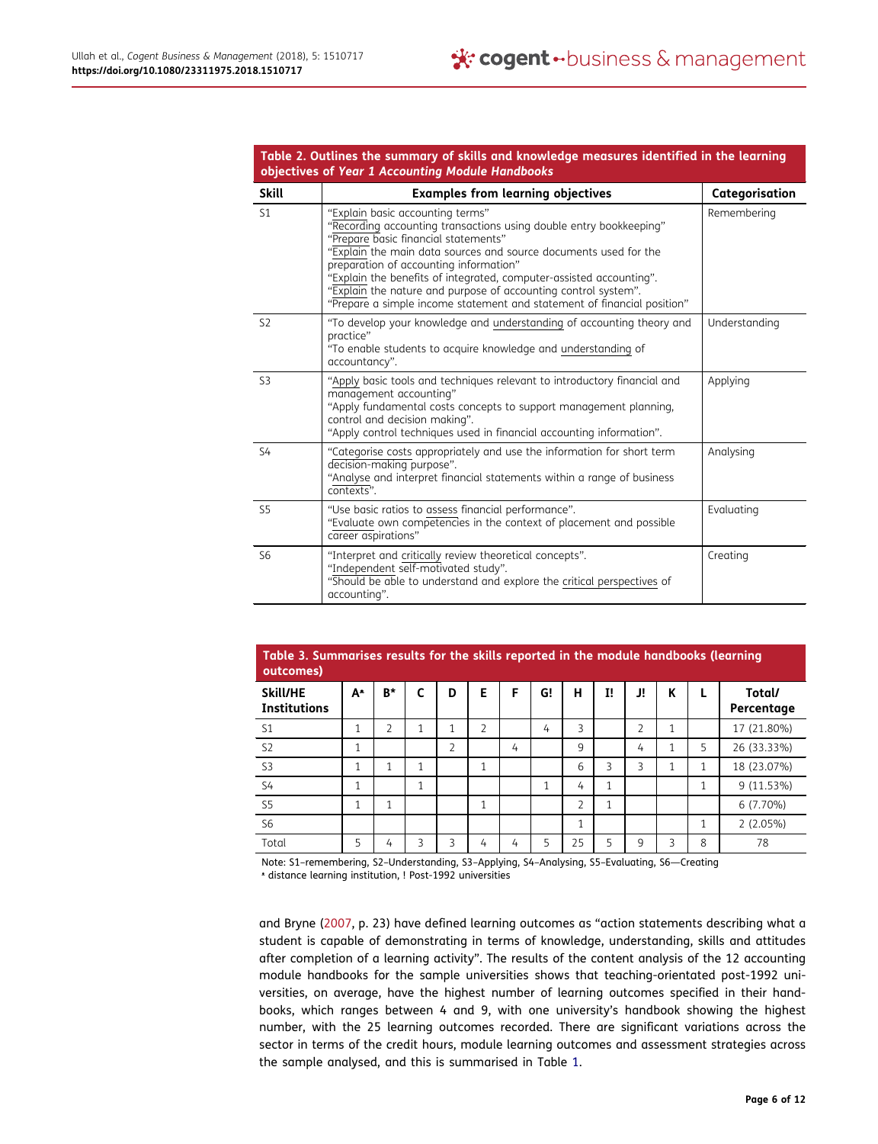<span id="page-5-0"></span>

|                | Table 2. Outlines the summary of skills and knowledge measures identified in the learning<br>objectives of Year 1 Accounting Module Handbooks                                                                                                                                                                                       |                |
|----------------|-------------------------------------------------------------------------------------------------------------------------------------------------------------------------------------------------------------------------------------------------------------------------------------------------------------------------------------|----------------|
| <b>Skill</b>   | <b>Examples from learning objectives</b>                                                                                                                                                                                                                                                                                            | Categorisation |
| S <sub>1</sub> | "Explain basic accounting terms"<br>"Recording accounting transactions using double entry bookkeeping"<br>"Prepare basic financial statements"<br>"Explain the main data sources and source documents used for the<br>preparation of accounting information"<br>"Explain the benefits of integrated, computer-assisted accounting". | Remembering    |

|                | preparation or accounting imprimation.<br>"Explain the benefits of integrated, computer-assisted accounting".<br>"Explain the nature and purpose of accounting control system".<br>"Prepare a simple income statement and statement of financial position"                       |               |
|----------------|----------------------------------------------------------------------------------------------------------------------------------------------------------------------------------------------------------------------------------------------------------------------------------|---------------|
| S <sub>2</sub> | "To develop your knowledge and understanding of accounting theory and<br>practice"<br>"To enable students to acquire knowledge and understanding of<br>accountancy".                                                                                                             | Understanding |
| S <sub>3</sub> | "Apply basic tools and techniques relevant to introductory financial and<br>management accounting"<br>"Apply fundamental costs concepts to support management planning,<br>control and decision making".<br>"Apply control techniques used in financial accounting information". | Applying      |
| S4             | "Categorise costs appropriately and use the information for short term<br>decision-making purpose".<br>"Analyse and interpret financial statements within a range of business<br>contexts".                                                                                      | Analysing     |
| S <sub>5</sub> | "Use basic ratios to assess financial performance".<br>"Evaluate own competencies in the context of placement and possible<br>career aspirations"                                                                                                                                | Evaluating    |
| S <sub>6</sub> | "Interpret and critically review theoretical concepts".<br>"Independent self-motivated study".<br>"Should be able to understand and explore the critical perspectives of<br>accounting".                                                                                         | Creating      |

<span id="page-5-1"></span>

| Table 3. Summarises results for the skills reported in the module handbooks (learning<br>outcomes) |    |                |   |                |                |   |    |    |    |                |   |   |                      |
|----------------------------------------------------------------------------------------------------|----|----------------|---|----------------|----------------|---|----|----|----|----------------|---|---|----------------------|
| <b>Skill/HE</b><br><b>Institutions</b>                                                             | A* | B*             | C | D              | E              | F | G! | н  | I! | J!             | К |   | Total/<br>Percentage |
| S <sub>1</sub>                                                                                     | 1  | $\overline{2}$ | 1 | 1              | $\overline{2}$ |   | 4  | 3  |    | $\overline{2}$ | 1 |   | 17 (21.80%)          |
| S <sub>2</sub>                                                                                     | 1  |                |   | $\overline{2}$ |                | 4 |    | 9  |    | 4              | 1 | 5 | 26 (33.33%)          |
| S <sub>3</sub>                                                                                     | 1  | 1              | 1 |                | 4              |   |    | 6  | 3  | 3              | 1 | 1 | 18 (23.07%)          |
| <b>S4</b>                                                                                          | 1  |                | 1 |                |                |   | 1  | 4  | 1  |                |   | 1 | $9(11.53\%)$         |
| S <sub>5</sub>                                                                                     | 1  | 1              |   |                | 1              |   |    | 2  | 1  |                |   |   | 6 (7.70%)            |
| S <sub>6</sub>                                                                                     |    |                |   |                |                |   |    | 1  |    |                |   | 1 | 2(2.05%)             |
| Total                                                                                              | 5  | 4              | 3 | 3              | 4              | 4 | 5  | 25 | 5  | 9              | 3 | 8 | 78                   |

Note: S1–remembering, S2–Understanding, S3–Applying, S4–Analysing, S5–Evaluating, S6—Creating ᵜ distance learning institution, ! Post-1992 universities

<span id="page-5-2"></span>and Bryne ([2007](#page-9-19), p. 23) have defined learning outcomes as "action statements describing what a student is capable of demonstrating in terms of knowledge, understanding, skills and attitudes after completion of a learning activity". The results of the content analysis of the 12 accounting module handbooks for the sample universities shows that teaching-orientated post-1992 universities, on average, have the highest number of learning outcomes specified in their handbooks, which ranges between 4 and 9, with one university's handbook showing the highest number, with the 25 learning outcomes recorded. There are significant variations across the sector in terms of the credit hours, module learning outcomes and assessment strategies across the sample analysed, and this is summarised in Table [1](#page-4-0).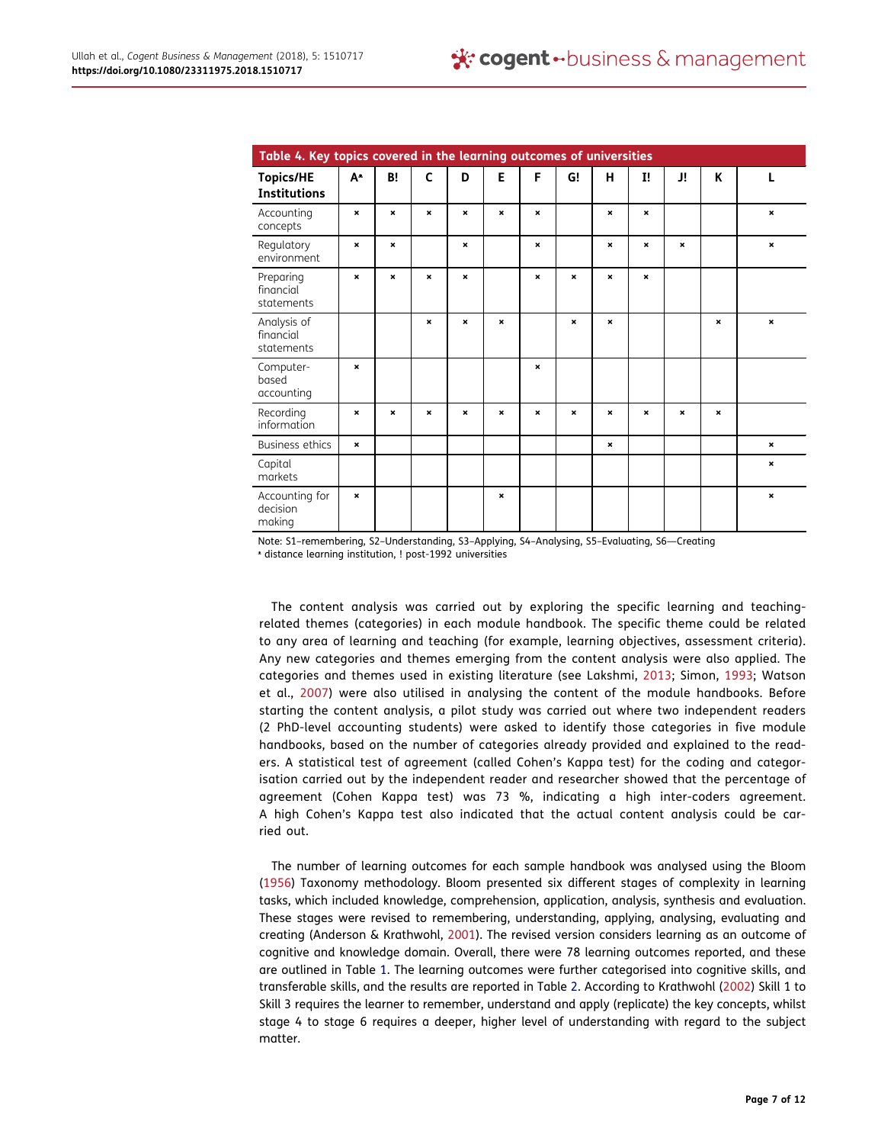<span id="page-6-0"></span>

| Table 4. Key topics covered in the learning outcomes of universities |                |                |                           |                           |              |                           |                           |                |                           |                |             |                |
|----------------------------------------------------------------------|----------------|----------------|---------------------------|---------------------------|--------------|---------------------------|---------------------------|----------------|---------------------------|----------------|-------------|----------------|
| <b>Topics/HE</b><br><b>Institutions</b>                              | A <sup>*</sup> | B!             | C                         | D                         | E            | F                         | G!                        | н              | $\mathbf{I}$              | J!             | K           | L              |
| Accounting<br>concepts                                               | $\pmb{\times}$ | $\mathbf{x}$   | $\pmb{\times}$            | $\pmb{\times}$            | $\mathbf{x}$ | $\boldsymbol{\mathsf{x}}$ |                           | $\pmb{\times}$ | $\boldsymbol{\mathsf{x}}$ |                |             | $\pmb{\times}$ |
| Regulatory<br>environment                                            | $\pmb{\times}$ | $\pmb{\times}$ |                           | $\pmb{\times}$            |              | $\pmb{\times}$            |                           | $\pmb{\times}$ | $\pmb{\times}$            | $\pmb{\times}$ |             | $\pmb{\times}$ |
| Preparing<br>financial<br>statements                                 | $\pmb{\times}$ | $\pmb{\times}$ | $\pmb{\times}$            | $\pmb{\times}$            |              | $\pmb{\times}$            | $\boldsymbol{\mathsf{x}}$ | $\pmb{\times}$ | $\pmb{\times}$            |                |             |                |
| Analysis of<br>financial<br>statements                               |                |                | $\pmb{\times}$            | $\boldsymbol{\mathsf{x}}$ | $\mathbf{x}$ |                           | $\pmb{\times}$            | $\pmb{\times}$ |                           |                | $\mathbf x$ | $\pmb{\times}$ |
| Computer-<br>based<br>accounting                                     | $\pmb{\times}$ |                |                           |                           |              | $\mathbf x$               |                           |                |                           |                |             |                |
| Recording<br>information                                             | $\mathbf x$    | $\pmb{\times}$ | $\boldsymbol{\mathsf{x}}$ | $\mathbf x$               | $\mathbf{x}$ | $\mathbf x$               | $\boldsymbol{\mathsf{x}}$ | $\mathbf x$    | $\boldsymbol{\mathsf{x}}$ | ×              | $\mathbf x$ |                |
| <b>Business ethics</b>                                               | $\pmb{\times}$ |                |                           |                           |              |                           |                           | $\pmb{\times}$ |                           |                |             | $\pmb{\times}$ |
| Capital<br>markets                                                   |                |                |                           |                           |              |                           |                           |                |                           |                |             | $\pmb{\times}$ |
| Accounting for<br>decision<br>making                                 | $\pmb{\times}$ |                |                           |                           | $\mathbf{x}$ |                           |                           |                |                           |                |             | $\mathbf{x}$   |

Note: S1–remembering, S2–Understanding, S3–Applying, S4–Analysing, S5–Evaluating, S6—Creating

ᵜ distance learning institution, ! post-1992 universities

The content analysis was carried out by exploring the specific learning and teachingrelated themes (categories) in each module handbook. The specific theme could be related to any area of learning and teaching (for example, learning objectives, assessment criteria). Any new categories and themes emerging from the content analysis were also applied. The categories and themes used in existing literature (see Lakshmi, [2013](#page-10-0); Simon, [1993](#page-10-10); Watson et al., [2007](#page-10-9)) were also utilised in analysing the content of the module handbooks. Before starting the content analysis, a pilot study was carried out where two independent readers (2 PhD-level accounting students) were asked to identify those categories in five module handbooks, based on the number of categories already provided and explained to the readers. A statistical test of agreement (called Cohen's Kappa test) for the coding and categorisation carried out by the independent reader and researcher showed that the percentage of agreement (Cohen Kappa test) was 73 %, indicating a high inter-coders agreement. A high Cohen's Kappa test also indicated that the actual content analysis could be carried out.

<span id="page-6-2"></span><span id="page-6-1"></span>The number of learning outcomes for each sample handbook was analysed using the Bloom ([1956](#page-9-20)) Taxonomy methodology. Bloom presented six different stages of complexity in learning tasks, which included knowledge, comprehension, application, analysis, synthesis and evaluation. These stages were revised to remembering, understanding, applying, analysing, evaluating and creating (Anderson & Krathwohl, [2001](#page-9-16)). The revised version considers learning as an outcome of cognitive and knowledge domain. Overall, there were 78 learning outcomes reported, and these are outlined in Table [1.](#page-4-0) The learning outcomes were further categorised into cognitive skills, and transferable skills, and the results are reported in Table [2](#page-5-0). According to Krathwohl ([2002](#page-10-21)) Skill 1 to Skill 3 requires the learner to remember, understand and apply (replicate) the key concepts, whilst stage 4 to stage 6 requires a deeper, higher level of understanding with regard to the subject matter.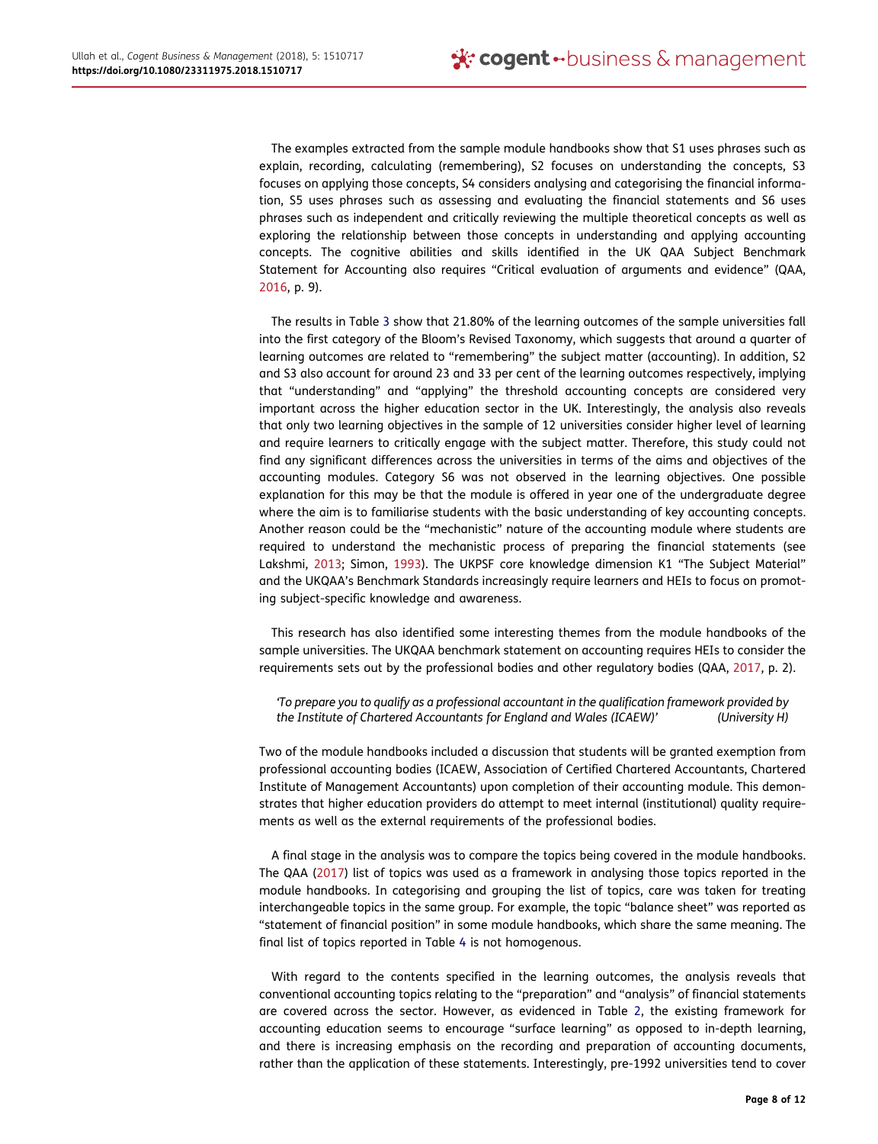The examples extracted from the sample module handbooks show that S1 uses phrases such as explain, recording, calculating (remembering), S2 focuses on understanding the concepts, S3 focuses on applying those concepts, S4 considers analysing and categorising the financial information, S5 uses phrases such as assessing and evaluating the financial statements and S6 uses phrases such as independent and critically reviewing the multiple theoretical concepts as well as exploring the relationship between those concepts in understanding and applying accounting concepts. The cognitive abilities and skills identified in the UK QAA Subject Benchmark Statement for Accounting also requires "Critical evaluation of arguments and evidence" (QAA, [2016](#page-10-2), p. 9).

The results in Table [3](#page-5-1) show that 21.80% of the learning outcomes of the sample universities fall into the first category of the Bloom's Revised Taxonomy, which suggests that around a quarter of learning outcomes are related to "remembering" the subject matter (accounting). In addition, S2 and S3 also account for around 23 and 33 per cent of the learning outcomes respectively, implying that "understanding" and "applying" the threshold accounting concepts are considered very important across the higher education sector in the UK. Interestingly, the analysis also reveals that only two learning objectives in the sample of 12 universities consider higher level of learning and require learners to critically engage with the subject matter. Therefore, this study could not find any significant differences across the universities in terms of the aims and objectives of the accounting modules. Category S6 was not observed in the learning objectives. One possible explanation for this may be that the module is offered in year one of the undergraduate degree where the aim is to familiarise students with the basic understanding of key accounting concepts. Another reason could be the "mechanistic" nature of the accounting module where students are required to understand the mechanistic process of preparing the financial statements (see Lakshmi, [2013](#page-10-0); Simon, [1993\)](#page-10-10). The UKPSF core knowledge dimension K1 "The Subject Material" and the UKQAA's Benchmark Standards increasingly require learners and HEIs to focus on promoting subject-specific knowledge and awareness.

This research has also identified some interesting themes from the module handbooks of the sample universities. The UKQAA benchmark statement on accounting requires HEIs to consider the requirements sets out by the professional bodies and other regulatory bodies (QAA, [2017](#page-10-19), p. 2).

'To prepare you to qualify as a professional accountant in the qualification framework provided by the Institute of Chartered Accountants for England and Wales (ICAEW)' (University H)

Two of the module handbooks included a discussion that students will be granted exemption from professional accounting bodies (ICAEW, Association of Certified Chartered Accountants, Chartered Institute of Management Accountants) upon completion of their accounting module. This demonstrates that higher education providers do attempt to meet internal (institutional) quality requirements as well as the external requirements of the professional bodies.

A final stage in the analysis was to compare the topics being covered in the module handbooks. The QAA ([2017](#page-10-19)) list of topics was used as a framework in analysing those topics reported in the module handbooks. In categorising and grouping the list of topics, care was taken for treating interchangeable topics in the same group. For example, the topic "balance sheet" was reported as "statement of financial position" in some module handbooks, which share the same meaning. The final list of topics reported in Table [4](#page-6-0) is not homogenous.

With regard to the contents specified in the learning outcomes, the analysis reveals that conventional accounting topics relating to the "preparation" and "analysis" of financial statements are covered across the sector. However, as evidenced in Table [2](#page-5-0), the existing framework for accounting education seems to encourage "surface learning" as opposed to in-depth learning, and there is increasing emphasis on the recording and preparation of accounting documents, rather than the application of these statements. Interestingly, pre-1992 universities tend to cover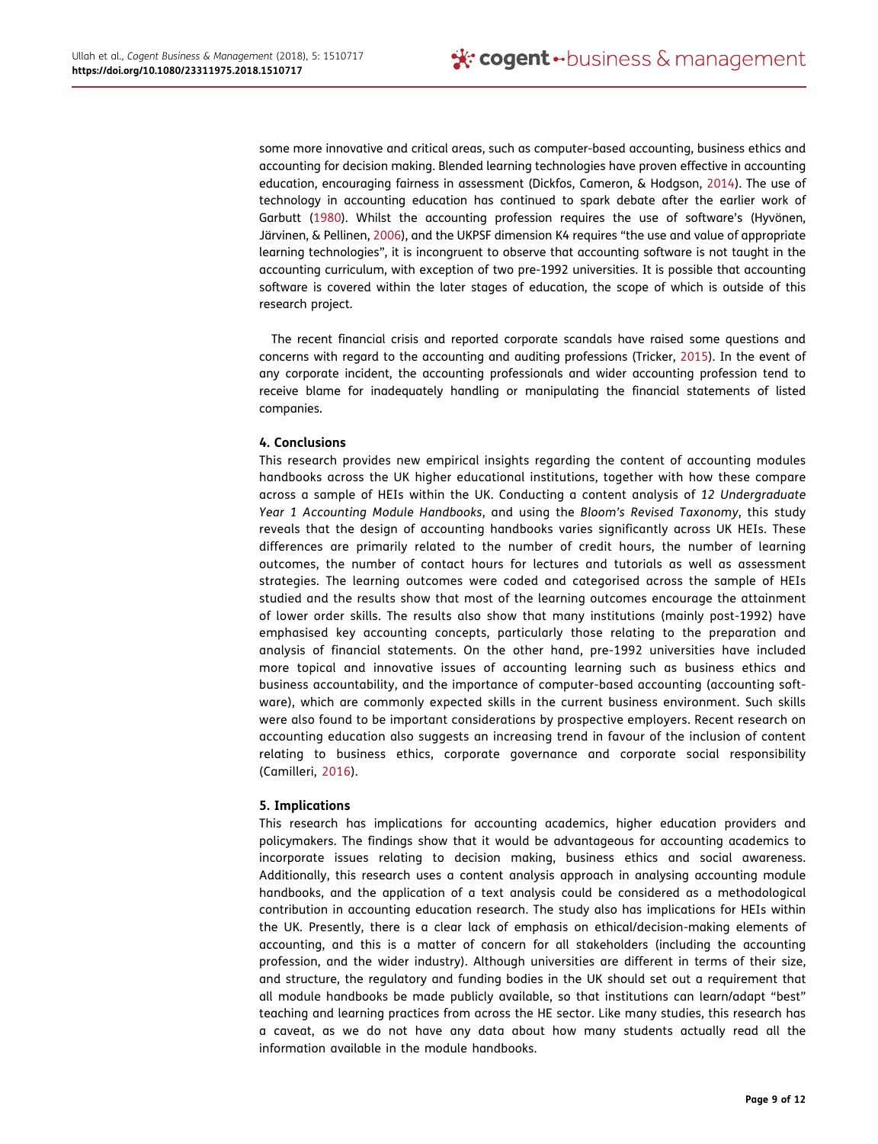<span id="page-8-3"></span><span id="page-8-2"></span><span id="page-8-1"></span>some more innovative and critical areas, such as computer-based accounting, business ethics and accounting for decision making. Blended learning technologies have proven effective in accounting education, encouraging fairness in assessment (Dickfos, Cameron, & Hodgson, [2014](#page-9-21)). The use of technology in accounting education has continued to spark debate after the earlier work of Garbutt ([1980\)](#page-9-22). Whilst the accounting profession requires the use of software's (Hyvönen, Järvinen, & Pellinen, [2006\)](#page-10-22), and the UKPSF dimension K4 requires "the use and value of appropriate learning technologies", it is incongruent to observe that accounting software is not taught in the accounting curriculum, with exception of two pre-1992 universities. It is possible that accounting software is covered within the later stages of education, the scope of which is outside of this research project.

The recent financial crisis and reported corporate scandals have raised some questions and concerns with regard to the accounting and auditing professions (Tricker, [2015\)](#page-10-5). In the event of any corporate incident, the accounting professionals and wider accounting profession tend to receive blame for inadequately handling or manipulating the financial statements of listed companies.

## 4. Conclusions

This research provides new empirical insights regarding the content of accounting modules handbooks across the UK higher educational institutions, together with how these compare across a sample of HEIs within the UK. Conducting a content analysis of 12 Undergraduate Year 1 Accounting Module Handbooks, and using the Bloom's Revised Taxonomy, this study reveals that the design of accounting handbooks varies significantly across UK HEIs. These differences are primarily related to the number of credit hours, the number of learning outcomes, the number of contact hours for lectures and tutorials as well as assessment strategies. The learning outcomes were coded and categorised across the sample of HEIs studied and the results show that most of the learning outcomes encourage the attainment of lower order skills. The results also show that many institutions (mainly post-1992) have emphasised key accounting concepts, particularly those relating to the preparation and analysis of financial statements. On the other hand, pre-1992 universities have included more topical and innovative issues of accounting learning such as business ethics and business accountability, and the importance of computer-based accounting (accounting software), which are commonly expected skills in the current business environment. Such skills were also found to be important considerations by prospective employers. Recent research on accounting education also suggests an increasing trend in favour of the inclusion of content relating to business ethics, corporate governance and corporate social responsibility (Camilleri, [2016\)](#page-9-23).

# <span id="page-8-0"></span>5. Implications

This research has implications for accounting academics, higher education providers and policymakers. The findings show that it would be advantageous for accounting academics to incorporate issues relating to decision making, business ethics and social awareness. Additionally, this research uses a content analysis approach in analysing accounting module handbooks, and the application of a text analysis could be considered as a methodological contribution in accounting education research. The study also has implications for HEIs within the UK. Presently, there is a clear lack of emphasis on ethical/decision-making elements of accounting, and this is a matter of concern for all stakeholders (including the accounting profession, and the wider industry). Although universities are different in terms of their size, and structure, the regulatory and funding bodies in the UK should set out a requirement that all module handbooks be made publicly available, so that institutions can learn/adapt "best" teaching and learning practices from across the HE sector. Like many studies, this research has a caveat, as we do not have any data about how many students actually read all the information available in the module handbooks.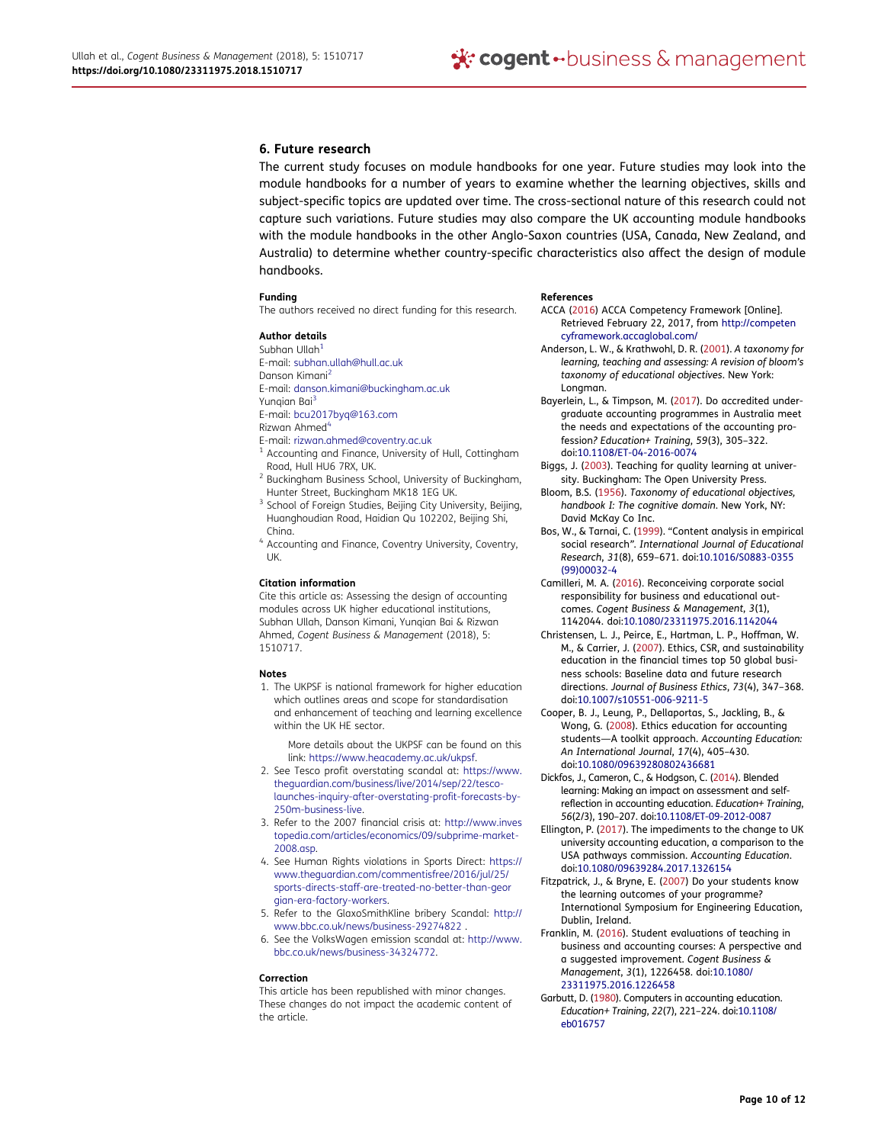#### 6. Future research

The current study focuses on module handbooks for one year. Future studies may look into the module handbooks for a number of years to examine whether the learning objectives, skills and subject-specific topics are updated over time. The cross-sectional nature of this research could not capture such variations. Future studies may also compare the UK accounting module handbooks with the module handbooks in the other Anglo-Saxon countries (USA, Canada, New Zealand, and Australia) to determine whether country-specific characteristics also affect the design of module handbooks.

#### Funding

The authors received no direct funding for this research.

#### Author details

- <span id="page-9-1"></span><span id="page-9-0"></span>Subhan Ullah $1$ E-mail: subhan.ullah@hull.ac.uk Danson Kimani[2](#page-0-0) E-mail: danson.kimani@buckingham.ac.uk Yungian Bai<sup>[3](#page-0-0)</sup> E-mail: bcu2017byq@163.com
- <span id="page-9-3"></span><span id="page-9-2"></span>Rizwan Ahmed<sup>[4](#page-0-0)</sup>
- E-mail: rizwan.ahmed@coventry.ac.uk
- Accounting and Finance, University of Hull, Cottingham Road, Hull HU6 7RX, UK.
- <sup>2</sup> Buckingham Business School, University of Buckingham, Hunter Street, Buckingham MK18 1EG UK.
- <sup>3</sup> School of Foreign Studies, Beijing City University, Beijing, Huanghoudian Road, Haidian Qu 102202, Beijing Shi, China.
- <sup>4</sup> Accounting and Finance, Coventry University, Coventry, UK.

#### Citation information

Cite this article as: Assessing the design of accounting modules across UK higher educational institutions, Subhan Ullah, Danson Kimani, Yunqian Bai & Rizwan Ahmed, Cogent Business & Management (2018), 5: 1510717.

#### Notes

<span id="page-9-4"></span>1. The UKPSF is national framework for higher education which outlines areas and scope for standardisation and enhancement of teaching and learning excellence within the UK HE sector.

More details about the UKPSF can be found on this link: [https://www.heacademy.ac.uk/ukpsf.](https://www.heacademy.ac.uk/ukpsf)

- <span id="page-9-10"></span>2. See Tesco profit overstating scandal at: [https://www.](https://www.theguardian.com/business/live/2014/sep/22/tesco-launches-inquiry-after-overstating-profit-forecasts-by-250m-business-live) [theguardian.com/business/live/2014/sep/22/tesco](https://www.theguardian.com/business/live/2014/sep/22/tesco-launches-inquiry-after-overstating-profit-forecasts-by-250m-business-live)[launches-inquiry-after-overstating-profit-forecasts-by-](https://www.theguardian.com/business/live/2014/sep/22/tesco-launches-inquiry-after-overstating-profit-forecasts-by-250m-business-live)[250m-business-live](https://www.theguardian.com/business/live/2014/sep/22/tesco-launches-inquiry-after-overstating-profit-forecasts-by-250m-business-live).
- <span id="page-9-11"></span>3. Refer to the 2007 financial crisis at: [http://www.inves](http://www.investopedia.com/articles/economics/09/subprime-market-2008.asp) [topedia.com/articles/economics/09/subprime-market-](http://www.investopedia.com/articles/economics/09/subprime-market-2008.asp)[2008.asp](http://www.investopedia.com/articles/economics/09/subprime-market-2008.asp).
- <span id="page-9-12"></span>4. See Human Rights violations in Sports Direct: [https://](https://www.theguardian.com/commentisfree/2016/jul/25/sports-directs-staff-are-treated-no-better-than-georgian-era-factory-workers) [www.theguardian.com/commentisfree/2016/jul/25/](https://www.theguardian.com/commentisfree/2016/jul/25/sports-directs-staff-are-treated-no-better-than-georgian-era-factory-workers) [sports-directs-staff-are-treated-no-better-than-geor](https://www.theguardian.com/commentisfree/2016/jul/25/sports-directs-staff-are-treated-no-better-than-georgian-era-factory-workers) [gian-era-factory-workers.](https://www.theguardian.com/commentisfree/2016/jul/25/sports-directs-staff-are-treated-no-better-than-georgian-era-factory-workers)
- <span id="page-9-13"></span>5. Refer to the GlaxoSmithKline bribery Scandal: [http://](http://www.bbc.co.uk/news/business-29274822) [www.bbc.co.uk/news/business-29274822](http://www.bbc.co.uk/news/business-29274822) .
- <span id="page-9-14"></span>6. See the VolksWagen emission scandal at: [http://www.](http://www.bbc.co.uk/news/business-34324772) [bbc.co.uk/news/business-34324772](http://www.bbc.co.uk/news/business-34324772).

#### Correction

This article has been republished with minor changes. These changes do not impact the academic content of the article.

#### References

- <span id="page-9-17"></span>ACCA [\(2016](#page-2-0)) ACCA Competency Framework [Online]. Retrieved February 22, 2017, from [http://competen](http://competencyframework.accaglobal.com/) [cyframework.accaglobal.com/](http://competencyframework.accaglobal.com/)
- <span id="page-9-16"></span>Anderson, L. W., & Krathwohl, D. R. [\(2001](#page-2-1)). A taxonomy for learning, teaching and assessing: A revision of bloom's taxonomy of educational objectives. New York: Longman.
- <span id="page-9-15"></span>Bayerlein, L., & Timpson, M. ([2017\)](#page-1-0). Do accredited undergraduate accounting programmes in Australia meet the needs and expectations of the accounting profession? Education+ Training, 59(3), 305–322. doi:[10.1108/ET-04-2016-0074](https://doi.org/10.1108/ET-04-2016-0074)
- <span id="page-9-5"></span>Biggs, J. ([2003\)](#page-1-1). Teaching for quality learning at university. Buckingham: The Open University Press.
- <span id="page-9-20"></span>Bloom, B.S. [\(1956](#page-6-1)). Taxonomy of educational objectives, handbook I: The cognitive domain. New York, NY: David McKay Co Inc.
- <span id="page-9-18"></span>Bos, W., & Tarnai, C. [\(1999](#page-3-0)). "Content analysis in empirical social research". International Journal of Educational Research, 31(8), 659–671. doi:[10.1016/S0883-0355](https://doi.org/10.1016/S0883-0355(99)00032-4) [\(99\)00032-4](https://doi.org/10.1016/S0883-0355(99)00032-4)
- <span id="page-9-23"></span>Camilleri, M. A. [\(2016](#page-8-0)). Reconceiving corporate social responsibility for business and educational outcomes. Cogent Business & Management, 3(1), 1142044. doi:[10.1080/23311975.2016.1142044](https://doi.org/10.1080/23311975.2016.1142044)
- <span id="page-9-7"></span>Christensen, L. J., Peirce, E., Hartman, L. P., Hoffman, W. M., & Carrier, J. ([2007\)](#page-1-2). Ethics, CSR, and sustainability education in the financial times top 50 global business schools: Baseline data and future research directions. Journal of Business Ethics, 73(4), 347–368. doi:[10.1007/s10551-006-9211-5](https://doi.org/10.1007/s10551-006-9211-5)
- <span id="page-9-8"></span>Cooper, B. J., Leung, P., Dellaportas, S., Jackling, B., & Wong, G. ([2008\)](#page-1-2). Ethics education for accounting students—A toolkit approach. Accounting Education: An International Journal, 17(4), 405–430. doi:[10.1080/09639280802436681](https://doi.org/10.1080/09639280802436681)
- <span id="page-9-21"></span>Dickfos, J., Cameron, C., & Hodgson, C. [\(2014](#page-8-1)). Blended learning: Making an impact on assessment and selfreflection in accounting education. Education+ Training, 56(2/3), 190–207. doi:[10.1108/ET-09-2012-0087](https://doi.org/10.1108/ET-09-2012-0087)
- <span id="page-9-6"></span>Ellington, P. [\(2017](#page-1-3)). The impediments to the change to UK university accounting education, a comparison to the USA pathways commission. Accounting Education. doi:[10.1080/09639284.2017.1326154](https://doi.org/10.1080/09639284.2017.1326154)
- <span id="page-9-19"></span>Fitzpatrick, J., & Bryne, E. ([2007\)](#page-5-2) Do your students know the learning outcomes of your programme? International Symposium for Engineering Education, Dublin, Ireland.
- <span id="page-9-9"></span>Franklin, M. [\(2016](#page-1-2)). Student evaluations of teaching in business and accounting courses: A perspective and a suggested improvement. Cogent Business & Management, 3(1), 1226458. doi:[10.1080/](https://doi.org/10.1080/23311975.2016.1226458) [23311975.2016.1226458](https://doi.org/10.1080/23311975.2016.1226458)
- <span id="page-9-22"></span>Garbutt, D. [\(1980](#page-8-2)). Computers in accounting education. Education+ Training, 22(7), 221–224. doi:[10.1108/](https://doi.org/10.1108/eb016757) [eb016757](https://doi.org/10.1108/eb016757)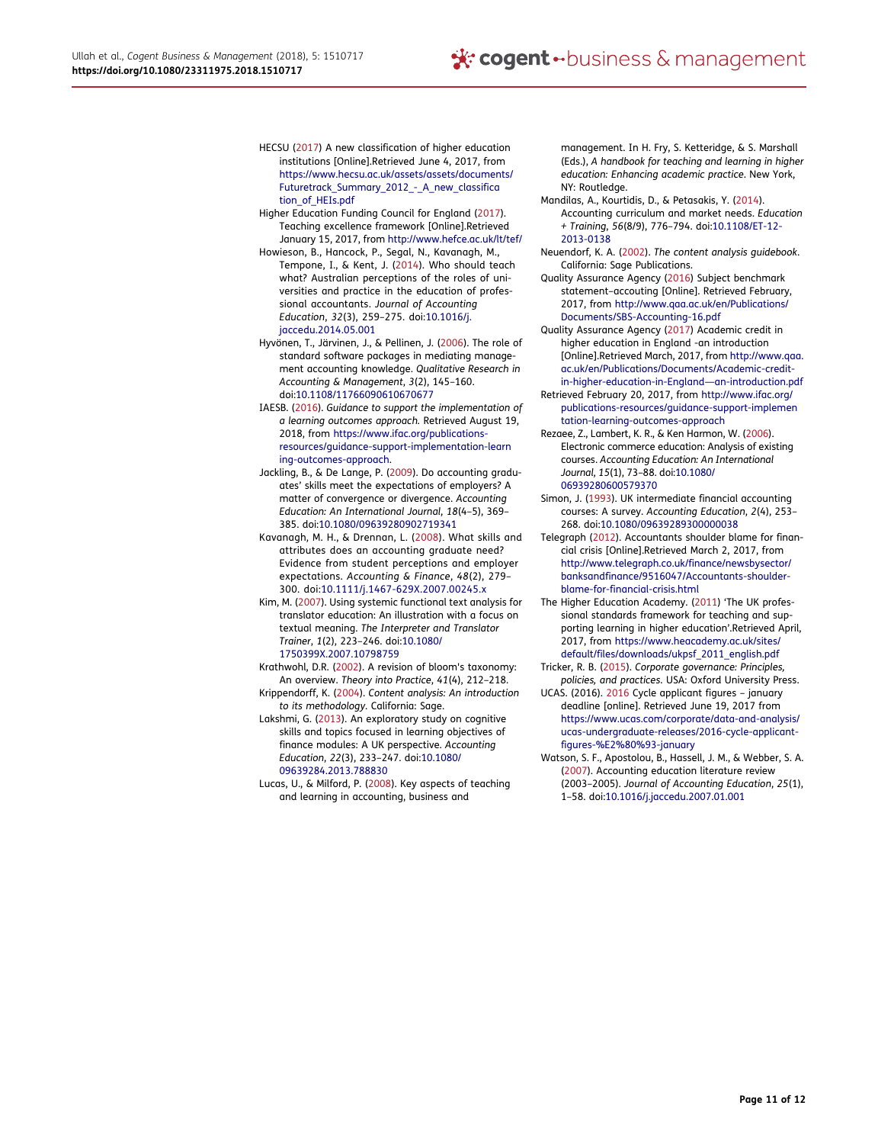- <span id="page-10-6"></span>HECSU [\(2017](#page-1-4)) A new classification of higher education institutions [Online].Retrieved June 4, 2017, from [https://www.hecsu.ac.uk/assets/assets/documents/](https://www.hecsu.ac.uk/assets/assets/documents/Futuretrack_Summary_2012_-_A_new_classification_of_HEIs.pdf) [Futuretrack\\_Summary\\_2012\\_-\\_A\\_new\\_classifica](https://www.hecsu.ac.uk/assets/assets/documents/Futuretrack_Summary_2012_-_A_new_classification_of_HEIs.pdf) [tion\\_of\\_HEIs.pdf](https://www.hecsu.ac.uk/assets/assets/documents/Futuretrack_Summary_2012_-_A_new_classification_of_HEIs.pdf)
- <span id="page-10-7"></span>Higher Education Funding Council for England [\(2017](#page-1-5)). Teaching excellence framework [Online].Retrieved January 15, 2017, from <http://www.hefce.ac.uk/lt/tef/>
- <span id="page-10-13"></span>Howieson, B., Hancock, P., Segal, N., Kavanagh, M., Tempone, I., & Kent, J. ([2014\)](#page-2-2). Who should teach what? Australian perceptions of the roles of universities and practice in the education of professional accountants. Journal of Accounting Education, 32(3), 259–275. doi:[10.1016/j.](https://doi.org/10.1016/j.jaccedu.2014.05.001) [jaccedu.2014.05.001](https://doi.org/10.1016/j.jaccedu.2014.05.001)
- <span id="page-10-22"></span>Hyvönen, T., Järvinen, J., & Pellinen, J. ([2006\)](#page-8-3). The role of standard software packages in mediating management accounting knowledge. Qualitative Research in Accounting & Management, 3(2), 145–160. doi:[10.1108/11766090610670677](https://doi.org/10.1108/11766090610670677)
- <span id="page-10-3"></span>IAESB. ([2016\)](#page-1-6). Guidance to support the implementation of a learning outcomes approach. Retrieved August 19, 2018, from [https://www.ifac.org/publications](https://www.ifac.org/publications-resources/guidance-support-implementation-learning-outcomes-approach)[resources/guidance-support-implementation-learn](https://www.ifac.org/publications-resources/guidance-support-implementation-learning-outcomes-approach) [ing-outcomes-approach](https://www.ifac.org/publications-resources/guidance-support-implementation-learning-outcomes-approach).
- <span id="page-10-12"></span>Jackling, B., & De Lange, P. [\(2009](#page-2-3)). Do accounting graduates' skills meet the expectations of employers? A matter of convergence or divergence. Accounting Education: An International Journal, 18(4–5), 369– 385. doi:[10.1080/09639280902719341](https://doi.org/10.1080/09639280902719341)
- <span id="page-10-11"></span>Kavanagh, M. H., & Drennan, L. ([2008\)](#page-2-4). What skills and attributes does an accounting graduate need? Evidence from student perceptions and employer expectations. Accounting & Finance, 48(2), 279– 300. doi:[10.1111/j.1467-629X.2007.00245.x](https://doi.org/10.1111/j.1467-629X.2007.00245.x)
- <span id="page-10-16"></span>Kim, M. [\(2007\)](#page-3-1). Using systemic functional text analysis for translator education: An illustration with a focus on textual meaning. The Interpreter and Translator Trainer, 1(2), 223–246. doi:[10.1080/](https://doi.org/10.1080/1750399X.2007.10798759) [1750399X.2007.10798759](https://doi.org/10.1080/1750399X.2007.10798759)
- <span id="page-10-21"></span>Krathwohl, D.R. [\(2002](#page-6-2)). A revision of bloom's taxonomy: An overview. Theory into Practice, 41(4), 212–218.
- <span id="page-10-18"></span>Krippendorff, K. ([2004\)](#page-3-2). Content analysis: An introduction to its methodology. California: Sage.
- <span id="page-10-0"></span>Lakshmi, G. [\(2013\)](#page-0-1). An exploratory study on cognitive skills and topics focused in learning objectives of finance modules: A UK perspective. Accounting Education, 22(3), 233–247. doi:[10.1080/](https://doi.org/10.1080/09639284.2013.788830) [09639284.2013.788830](https://doi.org/10.1080/09639284.2013.788830)
- <span id="page-10-20"></span>Lucas, U., & Milford, P. ([2008\)](#page-3-3). Key aspects of teaching and learning in accounting, business and

management. In H. Fry, S. Ketteridge, & S. Marshall (Eds.), A handbook for teaching and learning in higher education: Enhancing academic practice. New York, NY: Routledge.

- <span id="page-10-14"></span>Mandilas, A., Kourtidis, D., & Petasakis, Y. ([2014\)](#page-3-4). Accounting curriculum and market needs. Education + Training, 56(8/9), 776–794. doi:[10.1108/ET-12-](https://doi.org/10.1108/ET-12-2013-0138) [2013-0138](https://doi.org/10.1108/ET-12-2013-0138)
- <span id="page-10-15"></span>Neuendorf, K. A. ([2002\)](#page-3-5). The content analysis guidebook. California: Sage Publications.
- <span id="page-10-2"></span>Quality Assurance Agency [\(2016](#page-1-7)) Subject benchmark statement–accouting [Online]. Retrieved February, 2017, from [http://www.qaa.ac.uk/en/Publications/](http://www.qaa.ac.uk/en/Publications/Documents/SBS-Accounting-16.pdf) [Documents/SBS-Accounting-16.pdf](http://www.qaa.ac.uk/en/Publications/Documents/SBS-Accounting-16.pdf)
- <span id="page-10-19"></span>Quality Assurance Agency [\(2017](#page-3-6)) Academic credit in higher education in England -an introduction [Online].Retrieved March, 2017, from [http://www.qaa.](http://www.qaa.ac.uk/en/Publications/Documents/Academic-credit-in-higher-education-in-England%2014an-introduction.pdf) [ac.uk/en/Publications/Documents/Academic-credit](http://www.qaa.ac.uk/en/Publications/Documents/Academic-credit-in-higher-education-in-England%2014an-introduction.pdf)[in-higher-education-in-England](http://www.qaa.ac.uk/en/Publications/Documents/Academic-credit-in-higher-education-in-England%2014an-introduction.pdf)—an-introduction.pdf
- Retrieved February 20, 2017, from [http://www.ifac.org/](http://www.ifac.org/publications-resources/guidance-support-implementation-learning-outcomes-approach) [publications-resources/guidance-support-implemen](http://www.ifac.org/publications-resources/guidance-support-implementation-learning-outcomes-approach) [tation-learning-outcomes-approach](http://www.ifac.org/publications-resources/guidance-support-implementation-learning-outcomes-approach)
- <span id="page-10-17"></span>Rezaee, Z., Lambert, K. R., & Ken Harmon, W. ([2006](#page-3-7)). Electronic commerce education: Analysis of existing courses. Accounting Education: An International Journal, 15(1), 73–88. doi:[10.1080/](https://doi.org/10.1080/06939280600579370) [06939280600579370](https://doi.org/10.1080/06939280600579370)
- <span id="page-10-10"></span>Simon, J. ([1993\)](#page-2-5). UK intermediate financial accounting courses: A survey. Accounting Education, 2(4), 253– 268. doi:[10.1080/09639289300000038](https://doi.org/10.1080/09639289300000038)
- <span id="page-10-4"></span>Telegraph ([2012\)](#page-1-8). Accountants shoulder blame for financial crisis [Online].Retrieved March 2, 2017, from [http://www.telegraph.co.uk/finance/newsbysector/](http://www.telegraph.co.uk/finance/newsbysector/banksandfinance/9516047/Accountants-shoulder-blame-for-financial-crisis.html) [banksandfinance/9516047/Accountants-shoulder](http://www.telegraph.co.uk/finance/newsbysector/banksandfinance/9516047/Accountants-shoulder-blame-for-financial-crisis.html)[blame-for-financial-crisis.html](http://www.telegraph.co.uk/finance/newsbysector/banksandfinance/9516047/Accountants-shoulder-blame-for-financial-crisis.html)
- <span id="page-10-1"></span>The Higher Education Academy. [\(2011](#page-1-9)) 'The UK professional standards framework for teaching and supporting learning in higher education'.Retrieved April, 2017, from [https://www.heacademy.ac.uk/sites/](https://www.heacademy.ac.uk/sites/default/files/downloads/ukpsf_2011_english.pdf) [default/files/downloads/ukpsf\\_2011\\_english.pdf](https://www.heacademy.ac.uk/sites/default/files/downloads/ukpsf_2011_english.pdf)
- <span id="page-10-5"></span>Tricker, R. B. ([2015\)](#page-1-10). Corporate governance: Principles, policies, and practices. USA: Oxford University Press.
- <span id="page-10-8"></span>UCAS. (2016). [2016](#page-2-6) Cycle applicant figures – january deadline [online]. Retrieved June 19, 2017 from [https://www.ucas.com/corporate/data-and-analysis/](https://www.ucas.com/corporate/data-and-analysis/ucas-undergraduate-releases/2016-cycle-applicant-figures-%E2%80%93-january) [ucas-undergraduate-releases/2016-cycle-applicant](https://www.ucas.com/corporate/data-and-analysis/ucas-undergraduate-releases/2016-cycle-applicant-figures-%E2%80%93-january)[figures-%E2%80%93-january](https://www.ucas.com/corporate/data-and-analysis/ucas-undergraduate-releases/2016-cycle-applicant-figures-%E2%80%93-january)
- <span id="page-10-9"></span>Watson, S. F., Apostolou, B., Hassell, J. M., & Webber, S. A. ([2007\)](#page-2-7). Accounting education literature review (2003–2005). Journal of Accounting Education, 25(1), 1–58. doi:[10.1016/j.jaccedu.2007.01.001](https://doi.org/10.1016/j.jaccedu.2007.01.001)